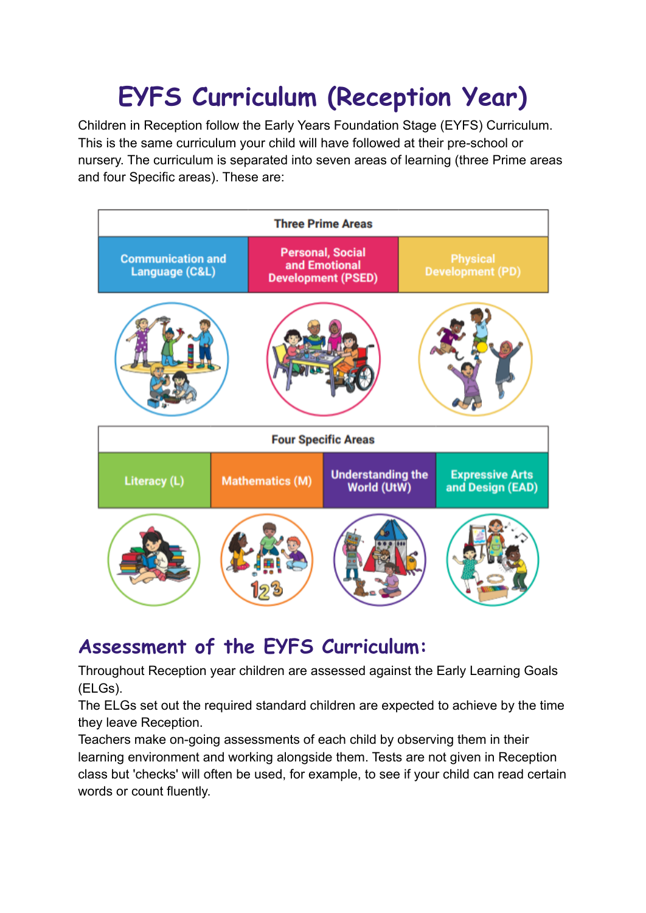# **EYFS Curriculum (Reception Year)**

Children in Reception follow the Early Years Foundation Stage (EYFS) Curriculum. This is the same curriculum your child will have followed at their pre-school or nursery. The curriculum is separated into seven areas of learning (three Prime areas and four Specific areas). These are:



#### **Assessment of the EYFS Curriculum:**

Throughout Reception year children are assessed against the Early Learning Goals (ELGs).

The ELGs set out the required standard children are expected to achieve by the time they leave Reception.

Teachers make on-going assessments of each child by observing them in their learning environment and working alongside them. Tests are not given in Reception class but 'checks' will often be used, for example, to see if your child can read certain words or count fluently.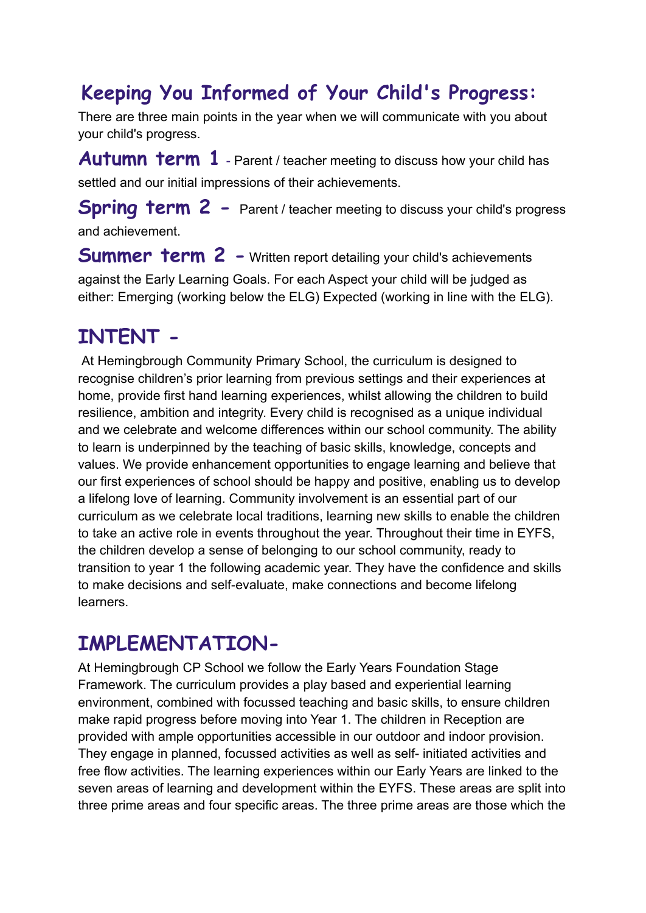# **Keeping You Informed of Your Child's Progress:**

There are three main points in the year when we will communicate with you about your child's progress.

**Autumn term 1** - Parent / teacher meeting to discuss how your child has settled and our initial impressions of their achievements.

**Spring term 2 -** Parent / teacher meeting to discuss your child's progress and achievement.

**Summer term 2 -** Written report detailing your child's achievements against the Early Learning Goals. For each Aspect your child will be judged as either: Emerging (working below the ELG) Expected (working in line with the ELG).

# **INTENT -**

At Hemingbrough Community Primary School, the curriculum is designed to recognise children's prior learning from previous settings and their experiences at home, provide first hand learning experiences, whilst allowing the children to build resilience, ambition and integrity. Every child is recognised as a unique individual and we celebrate and welcome differences within our school community. The ability to learn is underpinned by the teaching of basic skills, knowledge, concepts and values. We provide enhancement opportunities to engage learning and believe that our first experiences of school should be happy and positive, enabling us to develop a lifelong love of learning. Community involvement is an essential part of our curriculum as we celebrate local traditions, learning new skills to enable the children to take an active role in events throughout the year. Throughout their time in EYFS, the children develop a sense of belonging to our school community, ready to transition to year 1 the following academic year. They have the confidence and skills to make decisions and self-evaluate, make connections and become lifelong learners.

#### **IMPLEMENTATION-**

At Hemingbrough CP School we follow the Early Years Foundation Stage Framework. The curriculum provides a play based and experiential learning environment, combined with focussed teaching and basic skills, to ensure children make rapid progress before moving into Year 1. The children in Reception are provided with ample opportunities accessible in our outdoor and indoor provision. They engage in planned, focussed activities as well as self- initiated activities and free flow activities. The learning experiences within our Early Years are linked to the seven areas of learning and development within the EYFS. These areas are split into three prime areas and four specific areas. The three prime areas are those which the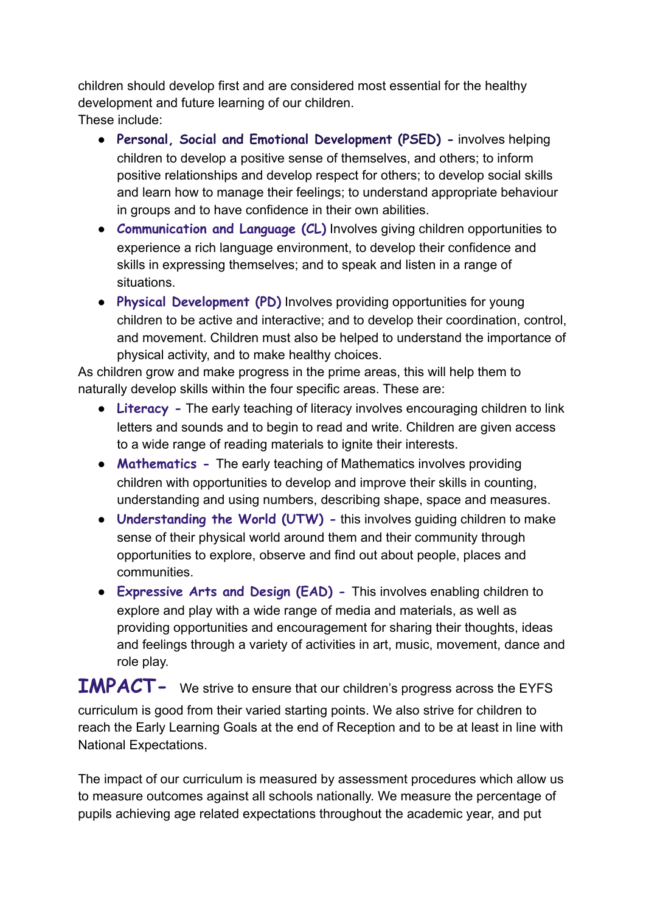children should develop first and are considered most essential for the healthy development and future learning of our children. These include:

● **Personal, Social and Emotional Development (PSED) -** involves helping children to develop a positive sense of themselves, and others; to inform positive relationships and develop respect for others; to develop social skills and learn how to manage their feelings; to understand appropriate behaviour in groups and to have confidence in their own abilities.

- **Communication and Language (CL)** Involves giving children opportunities to experience a rich language environment, to develop their confidence and skills in expressing themselves; and to speak and listen in a range of situations.
- **Physical Development (PD)** Involves providing opportunities for young children to be active and interactive; and to develop their coordination, control, and movement. Children must also be helped to understand the importance of physical activity, and to make healthy choices.

As children grow and make progress in the prime areas, this will help them to naturally develop skills within the four specific areas. These are:

- **Literacy -** The early teaching of literacy involves encouraging children to link letters and sounds and to begin to read and write. Children are given access to a wide range of reading materials to ignite their interests.
- **Mathematics -** The early teaching of Mathematics involves providing children with opportunities to develop and improve their skills in counting, understanding and using numbers, describing shape, space and measures.
- **Understanding the World (UTW)** this involves guiding children to make sense of their physical world around them and their community through opportunities to explore, observe and find out about people, places and communities.
- **Expressive Arts and Design (EAD) -** This involves enabling children to explore and play with a wide range of media and materials, as well as providing opportunities and encouragement for sharing their thoughts, ideas and feelings through a variety of activities in art, music, movement, dance and role play.

**IMPACT-** We strive to ensure that our children's progress across the EYFS curriculum is good from their varied starting points. We also strive for children to reach the Early Learning Goals at the end of Reception and to be at least in line with National Expectations.

The impact of our curriculum is measured by assessment procedures which allow us to measure outcomes against all schools nationally. We measure the percentage of pupils achieving age related expectations throughout the academic year, and put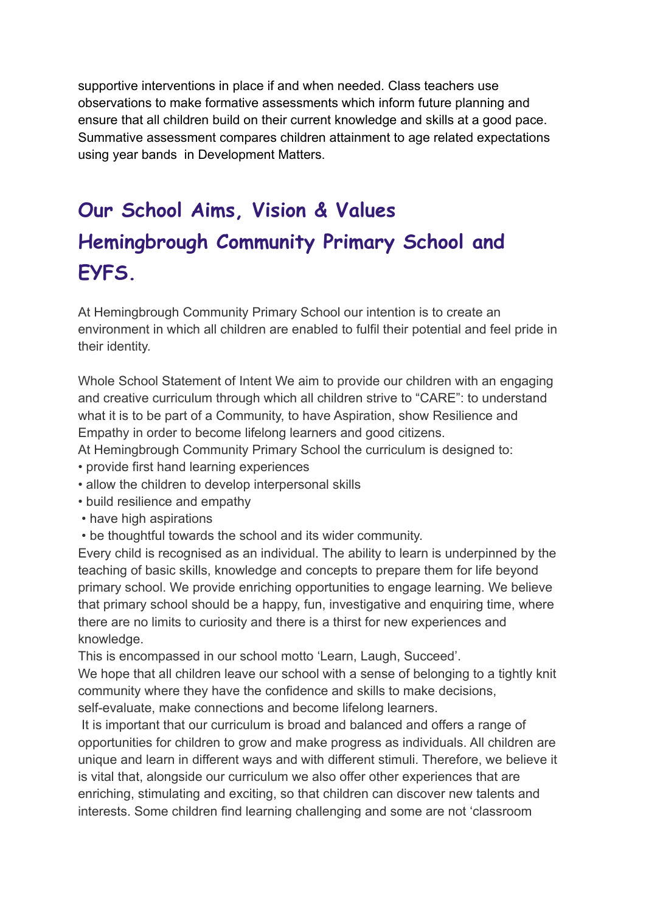supportive interventions in place if and when needed. Class teachers use observations to make formative assessments which inform future planning and ensure that all children build on their current knowledge and skills at a good pace. Summative assessment compares children attainment to age related expectations using year bands in Development Matters.

# **Our School Aims, Vision & Values Hemingbrough Community Primary School and EYFS.**

At Hemingbrough Community Primary School our intention is to create an environment in which all children are enabled to fulfil their potential and feel pride in their identity.

Whole School Statement of Intent We aim to provide our children with an engaging and creative curriculum through which all children strive to "CARE": to understand what it is to be part of a Community, to have Aspiration, show Resilience and Empathy in order to become lifelong learners and good citizens.

At Hemingbrough Community Primary School the curriculum is designed to:

- provide first hand learning experiences
- allow the children to develop interpersonal skills
- build resilience and empathy
- have high aspirations
- be thoughtful towards the school and its wider community.

Every child is recognised as an individual. The ability to learn is underpinned by the teaching of basic skills, knowledge and concepts to prepare them for life beyond primary school. We provide enriching opportunities to engage learning. We believe that primary school should be a happy, fun, investigative and enquiring time, where there are no limits to curiosity and there is a thirst for new experiences and knowledge.

This is encompassed in our school motto 'Learn, Laugh, Succeed'.

We hope that all children leave our school with a sense of belonging to a tightly knit community where they have the confidence and skills to make decisions, self-evaluate, make connections and become lifelong learners.

It is important that our curriculum is broad and balanced and offers a range of opportunities for children to grow and make progress as individuals. All children are unique and learn in different ways and with different stimuli. Therefore, we believe it is vital that, alongside our curriculum we also offer other experiences that are enriching, stimulating and exciting, so that children can discover new talents and interests. Some children find learning challenging and some are not 'classroom